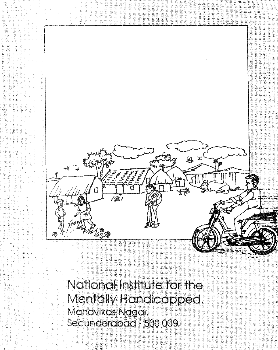

National Institute for<br>Mentally Handicapp<br>Manovikas Nagar,<br>Secunderabad - 500 009. Mentally Handicapped.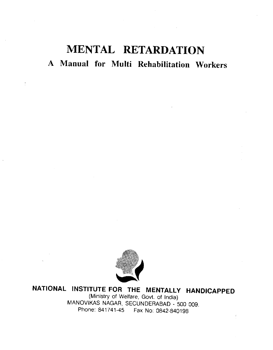# MENTAL RETARDATION A Manual for Multi Rehabilitation Workers



NATIONAL INSTITUTE FOR THE MENTALLY HANDICAPPED (Ministry of Welfare, Govt. of India) MANOVIKAS NAGAR, SECUNDERABAD - 500 009. Phone: 841741-45 Fax No: 0842-840198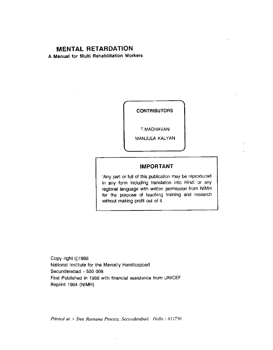# MENTAL RETARDATION

A Manual for Multi Rehabilitation Workers

**CONTRIBUTORS** 

T.MAOHAVAN

MANJULA KALYAN

#### IMPORTANT

'Any part or full of this publication may be reproduced in any form Including translation into Hindi or any regional language with written permission from NIMH for the purpose of teaching training and research without making profit out of it.

Copy right @1988 National Institute for the Mentally Handicapped Secunderabad - 500 009, First Published in 1988 with financial assistance from UNICEF Reprint 1994 (NIMH)

Printed at :- Sree Ramana Process, Secunderabad. Hello : 811750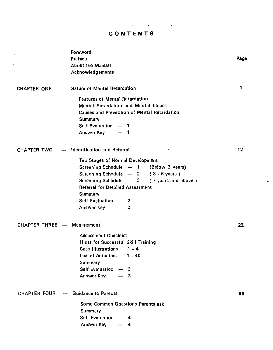# CONTENTS

 $\mathcal{L}^{\mathcal{L}}$  and  $\mathcal{L}^{\mathcal{L}}$  are  $\mathcal{L}^{\mathcal{L}}$  . Then  $\mathcal{L}^{\mathcal{L}}$  are  $\mathcal{L}^{\mathcal{L}}$ 

 $\sim$   $\sim$ 

 $\mathbb{R}^2$ 

|                            | Foreword                                           |      |
|----------------------------|----------------------------------------------------|------|
|                            | Preface                                            | Page |
|                            | About the Manual                                   |      |
|                            | Acknowledgements                                   |      |
| CHAPTER ONE                | - Nature of Mental Retardation                     | 1    |
|                            | <b>Features of Mental Retardation</b>              |      |
|                            | Mental Retardation and Mental Illness              |      |
|                            | <b>Causes and Prevention of Mental Retardation</b> |      |
|                            | Summary                                            |      |
|                            | Self Evaluation - 1                                |      |
|                            | Answer Key<br>$-1$                                 |      |
|                            | <b>CHAPTER TWO</b> -- Identification and Referral  | 12   |
|                            |                                                    |      |
|                            | <b>Ten Stages of Normal Development</b>            |      |
|                            | Screening Schedule - 1 (Below 3 years)             |      |
|                            | Screening Schedule - 2 (3 - 6 years)               |      |
|                            | Screening Schedule - 3 (7 years and above)         |      |
|                            | <b>Referral for Detailed Assessment</b>            |      |
|                            | Summary                                            |      |
|                            | Self Evaluation - 2<br>$-2$                        |      |
|                            | Answer Key                                         |      |
| CHAPTER THREE - Management |                                                    | 22   |
|                            | <b>Assessment Checklist</b>                        |      |
|                            | Hints for Successful Skill Training                |      |
|                            | <b>Case Illustrations</b><br>$1 - 4$               |      |
|                            | List of Activities 1 - 40                          |      |
|                            | Summary                                            |      |
|                            | <b>Self Evaluation</b><br>- 3                      |      |
|                            | Answer Key<br>— 3                                  |      |
|                            | CHAPTER FOUR - Guidance to Parents                 | 53   |
|                            |                                                    |      |
|                            | <b>Some Common Questions Parents ask</b>           |      |
|                            | Summary                                            |      |
|                            | Self Evaluation - 4                                |      |
|                            | Answer Key<br>4                                    |      |
|                            |                                                    |      |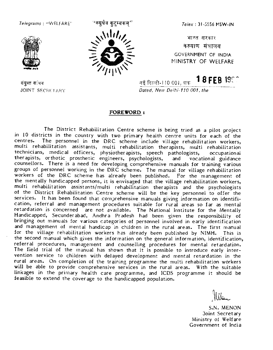<span id="page-4-0"></span> $\tau$ e*legrams*:"WELFARE' <sup>'</sup>'वसुर्धंव कुटुम्बकम्'' *Telex*:3l-5556 MSW-IN



संयुक्त सचिव



 $\mathcal{N}^{\text{MB}}$  with  $\mathcal{N}$  and  $\mathcal{N}^{\text{MB}}$ - कल्याण मंत्रालय<br>2002 - GOVERNMENT OF INDIA MINISTRY OF WELFARE

नई दिल्ली-IT0 001, जक $\,$  18 FEB 1900 JOINT SECRETARY Dated. New Delhi-110 001, the

#### FOREWORD:

The District Rehabilitation Centre scheme is being tried as a pilot project in 10 districts in the country with two primary health centre units for each of the centres. The personnel in the DRC scheme include village rehab multi rehabilitation assistants, multi rehabilitation the apists, multi rehabilitation technicians, medical officers, physiotherapists, speech pathologists, occupational therapists, orthotic prosthetic engineers, psychologists, and vocational guidance<br>counsellors. There is a need for developing comprehensive manuals for training various groups of personnel working in the DRC scheme. The manual for village rehabilitation workers of the DRC scheme has already been published. For the management of the mentally handicapped persons, it is envisaged that the vi multi rehabilitation assistants/multi rehabilitation therapists and the psychologists of the District Rehabilitation Centre scheme will be the key personnel to offer the services. It has been found that comprehensive manuals giving information on identification, referral and management procedures suitable for rural areas so far as mental retardation is concerned are not available. The Nati for the village rehabilitation workers has already been published by NIMH. This is the second manual which gives the information on the general information, identification, referral procedures, management and counselling procedures for mental retardation.<br>The field trial of the manual has shown that it is possible to introduce early inter-<br>vention service to children with delayed development will be able to provide comprehensive services in the rural areas. With the suitable linkages in the primary health care programme, and ICDS programme it should be feasible to extend the coverage to the handicapped population.

S.N. MENON Joint Secretary Ministry of Welfare Government of India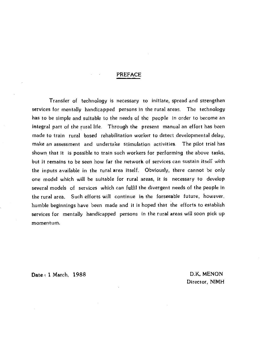#### PREFAcE

<span id="page-5-0"></span>Transfer of technology is necessary to initiate, spread and strengthen services for mentally handicapped persons in the rural areas. The technology has to be simple and suitable to the needs of the people in order to become an integral part of the rural life. Through the present manual an effort has been made to train rural based rehabilitation worker to detect developmental delay, make an assessment and undertake stimulation activities. The pilot trial has shown that it is possible to train such workers for performing the above tasks, but it remains to be seen how far the network of services can sustain itself with the inputs available in the rural area itself. Obviously, there cannot be only one model which will be suitable for rural areas, it is necessary to develop several models of services which can fulfil the divergent needs of the people in the rural area. Such efforts will continue in the forseeable future, however. humble beginnings have been made and it is hoped that the efforts to establish services for mentally handicapped persons in the rural areas will soon pick up momentum.

Date: 1 March, 1988 D.K. MENON

Director, NIMH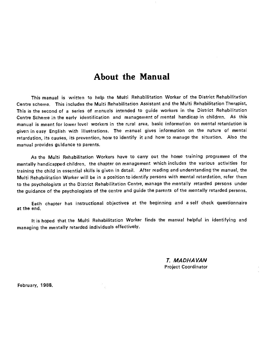# About the Manual

<span id="page-6-0"></span>This manual is written to help the Multi Rehabilitation Worker of the District Rehabilitation Centre scheme. This includes the Multi Rehabilitation Assistant and the Multi Rehabilitation Therapist This is the second of a series of manuals intended to guide workers in the District Rehabilitation Centre Scheme in the early identification and management of mental handicap in children. As this manual is meant for lower level workers in the rural area, basic information on mental retardation is given in easy English with illustrations. The manual gives information on the nature of mental retardation, its causes, its prevention, how to identify it and how to manage the situation. Also the manual provides guidance to parents.

As the Multi Rehabilitation Workers have to carry out the home training programme of the mentally handicapped children, the chapter on management which includes the various activities for training the child in essential skills is given in detail. After reading and understanding the manual, the Multi Rehabilitation Worker will be in a position to identify persons with mental retardation, refer them to the psychologists at the District Rehabilitation Centre, manage the mentally retarded persons under the guidance of the psychologists of the centre and guide the parents of the mentally retarded persons.

Each chapter has instructional objectives at the beginning and a self check questionnaire at the end.

It is hoped that the Multi Rehabilitation Worker finds the manual helpful in identifying and managing the mentally retarded individuals effectively.

> 7. MADHA VAN Project Coordinator

February. 1988.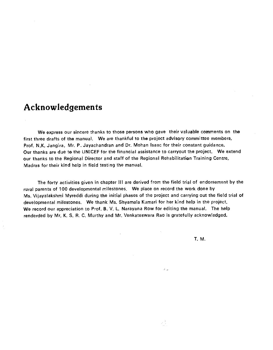# <span id="page-7-0"></span>Acknowledgements

We express our sincere thanks to those persons who gave their valuable comments on the first three drafts of the manual. We are thankful to the project advisory committee members, Prof. N.K. Jangira, Mr. P. Jayachandran and Dr. Mohan Isaac for their constant guidance. Our thanks are due to the UNICEF for the financial assistance to carryout the project. We extend our thanks to the Regional Director and staff of the Regional Rehabilitation Training Centre, Madras for their kind help in field testing the manual.

The forty activities given in chapter III are derived from the field trial of endorsement by the rural parents of 100 developmental milestones. We place on record the work done by Ms. Vijayalakshmi Myreddi during the initial phases of the project and carrying out the field trial of developmental milestones. We thank Ms. Shyamala Kumari for her kind help in the project. We record our appreciation to Prof. B. V. L. Narayana Row for editing the manual. The help renderded by Mr. K. S. R. C. Murthy and Mr. Venkateswara Rao is gratefully acknowledged.

T. M.

 $\mathcal{F}_{\mathcal{A},\mathcal{B}}$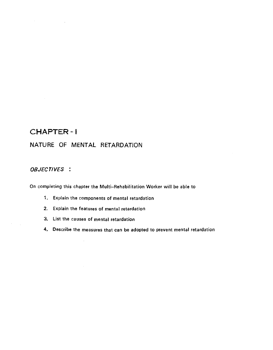# CHAPTER - <sup>I</sup>

<span id="page-8-0"></span> $\mathcal{A}^{\mathcal{A}}$  and  $\mathcal{A}^{\mathcal{A}}$  are  $\mathcal{A}^{\mathcal{A}}$  . In the  $\mathcal{A}^{\mathcal{A}}$ 

# NATURE OF MENTAL RETARDATION

# OBJECTIVES :

 $\lambda$ 

On completing this chapter the Multi—Rehabilitation Worker will be able to

- 1. Explain the components of mental retardation
- 2. Explain the features of mental retardation
- 3. List the causes of mental retardation

 $\sim$ 

4. Describe the measures that can be adopted to prevent mental retardation

 $\sim$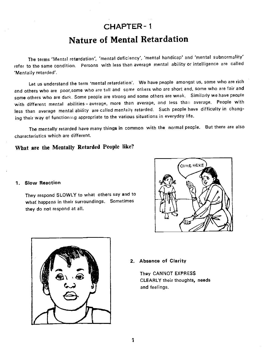# CHAPTER- 1

# Nature of Mental Retardation

The terms 'Mental retardation', 'mental deficiency', 'mental handicap'and 'mental subnormality' refer to the same condition. Persons with less than average mental ability or intelligence are called 'Mentally retarded'.

Let us understand the term 'mental retardation'. We have people amongst us, some who are rich and others who are poor,some who are tall and some others who are short and, some who are fair and some others who are dark. Some people are strong and some others are weak. Similarly we have people with different mental abilities - average, more than average, and less than average. People with less than average mental ability are called mentally retarded. Such people have difficulty in changing their way of functioning appropriate to the various situations in everyday life.

The mentally retarded have many things in common with the normal people. But there arealso characteristics which are different.

# What are the Mentally Retarded People like?

#### 1. Slow Reaction

They respond SLOWLY to what others say and to what happens in their surroundings. Sometimes they do not respond at all.





#### 2, Absence of Clarity

They CANNOT EXPRESS CLEARLY their thoughts, needs and feelings.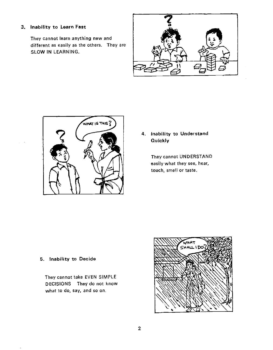#### 3. Inability to Learn Fast

They cannot learn anything new and different as easily as the others. They are SLOW IN LEARNING.





# 4. Inability to Understand Quickly

They cannot UNDERSTAND easily what they see, hear, touch, smell or taste.

# 5. Inability to Decide

They cannot take EVEN SIMPLE DECISIONS They do not know what to do, say, and so on.

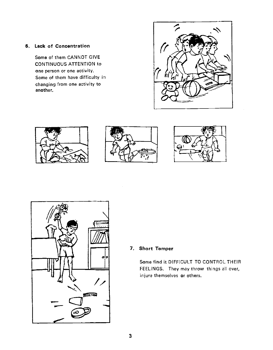#### 6. Lack of Concentration

Some of them CANNOT GIVE CONTINUOUS ATTENTION to one person or one activity. Some of them have difficulty in changing from one activity to another.











#### 7. Short Temper

Some find it DIFFICULT TO CONTROL THEIR FEELINGS. They may throw things all over, injure themselves or others.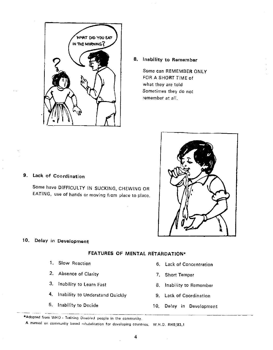<span id="page-12-0"></span>

# 8. Inability to Remember

Some can REMEMBER ONLY FOR A SHORT TIME of what they are told Sometimes they do not remember at all.

#### 9. Lack of Coordination

Some have DIFFICULTY IN SUCKING. CHEWING OR EATING, use of hands or moving from place to place.



# 10. Delay in Development

#### FEATURES OF MENTAL REtARDATION

- 
- 2. Absence of Clarity 7. Short Temper
- 3. Inability to Learn Fast 8. Inability to Remember
- 4. Inability to Understand Quickly 9. Lack of Coordination
- 
- 1. Slow Reaction **6. Lack of Concentration** 
	-
	-
	-
- 5. Inability to Decide '10. Delay in Development

\*Adopted from WHO - Training Disabled people in the community.

A manual on community based rehabilitation for developing countries, W.H.O. RHB/83.1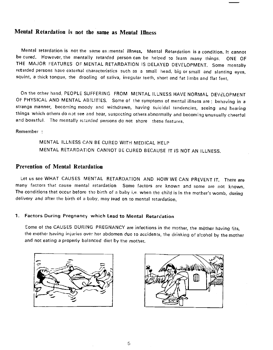# <span id="page-13-0"></span>Mental Retardation is not the same as Mental Illness

Mental retardation is not the same as mental illness, Mental Retardation is a condition, It cannot be cured. However, the mentally retarded person can be helped to learn many things. ONE OF THE MAJOR FEATURES OF MENTAL RETARDATION IS DELAYED DEVELOPMENT. Some mentally retarded persons have external characteristics such as a small head, big or small and slanting eyes, squint, a thick tongue, the drooling of saliva, irregular teeth, short and fat limbs and flat feet.

On the other hand, PEOPLE SUFFERING FROM MENTAL ILLNESS HAVE NORMAL DEVELOPMENT OF PHYSICAL AND MENTAL ABILITIES. Some of the symptoms of mental illness are : behaving in a strange manner, becoming moody and withdrawn, having suicidal tendencies, seeing and hearing things which others do not see and hear, suspecting others abnormally and becoming unusually cheerful and boastful. The mentally retarded persons do not share these features.

Remember:

MENTAL ILLNESS CAN BE CURED WITH MEDICAL HELP MENTAL RETARDATION CANNOT BE CURED BECAUSE IT IS NOT AN ILLNESS.

#### Prevention of Mental Retardation

Let us see WHAT CAUSES MENTAL RETARDATION AND HOW WE CAN PREVENT IT. There are many factors that cause mental retardation Some factors are known and some are not known. The conditions that occur before the birth of a baby i.e. when the child is in the mother's womb, during delivery and after the birth of a baby, may lead on to mental retardation.

#### 1. Factors During Pregnancy which Lead to Mental Retardation

Some of the CAUSES DURING PREGNANCY are infections in the mother, the mother having fits, the mother having injuries over her abdomen due to accidents, the drinking of alcohol by the mother and not eating a properly balanced diet by the mother.



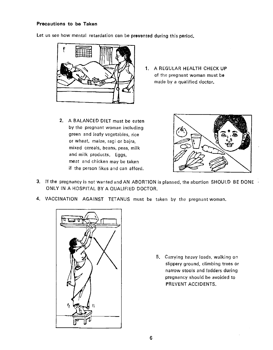#### Precautions to be Taken

Let us see how mental retardation can be prevented during this period.



- 1. A REGULAR HEALTH CHECK UP of the pregnant woman must be made by a qualified doctor.
- 2. A BALANCED DIET must be eaten by the pregnant woman including green and leafy vegetables, rice or wheat, maize, ragi or bajra, mixed cereals, beans, peas, milk and milk products. Eggs, meat and chicken may be taken if the person likes and can afford.



- 3. If the pregnancy is not wanted and AN ABORTION is planned, the a bortion SHOULD BE DONE ONLY IN A HOSPITAL BY A QUALIFIED DOCTOR.
- 4. VACCINATION AGAINST TETANUS must be taken by the pregnant woman.



5. Carrying heavy loads, walking on slippery ground, climbing trees or narrow stools and ladders during pregnancy should be avoided to PREVENT ACCIDENTS.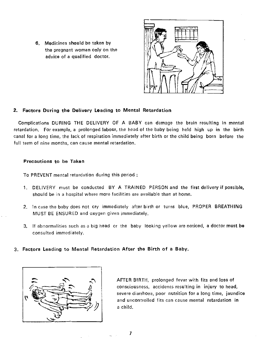6. Medicines should be taken by the pregnant woman only on the advice of a qualified doctor.



#### 2. Factors During the Delivery Leading to Mental Retardation

Complications DURING THE DELIVERY OF A BABY can damage the brain resulting in mental retardation. For example, a prolonged labour, the head of the baby being held high up in the birth canal for a long time, the lack of respiration immediately after birth or the child being born before the full term of nine months, can cause mental retardation.

#### Precautions to be Taken

To PREVENT mental retardation during this period

- 1. DELIVERY must be conducted BY A TRAINED PERSON and the first delivery if possible, should be in a hospital where more facilities are available than at home.
- 2. In case the baby does not cry immediately after birth or turns blue, PROPER BREATHING MUST BE ENSURED and oxygen given immediately.
- 3. If abnormalities such as a big head or the baby looking yellow are noticed, a doctor must be consulted immediately.
- 3. Factors Leading to Mental Retardation After the Birth of a Baby



AFTER BIRTH, prolonged fever with fits and loss of consciousness, accidents resulting in injury to head, severe diarrhoea, poor nutrition for a long time, jaundice and uncontrolled fits can cause mental retardation in a child.

1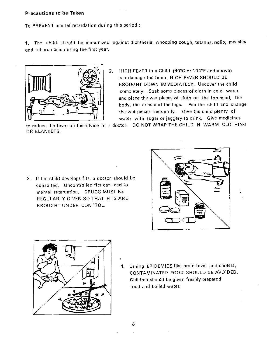#### Precautions to be Taken

To PREVENT mental retardation during this period

1. The child should be immunized against diphtheria, whooping cough, tetanus, polio, measles and tuberculosis curing the first year.



2. HIGH FEVER in a Child (40°C or 104°F and above) can damage the brain. HIGH FEVER SHOULD BE BROUGHT DOWN IMMEDIATELY. Uncover the child completely. Soak some pieces of cloth in cold water and place the wet pieces of cloth on the forehead, the body, the arms and the legs. Fan the child and change the wet pieces frequently. Give the child plenty of water with sugar or jaggery to drink. Give medicines

to reduce the fever on the advice of a doctor. DO NOT WRAP THE CHILD IN WARM CLOTHING OR BLANKETS.

3. If the child develops fits, a doctor should be consulted. Uncontrolled fits can lead to mental retardation. DRUGS MUST BE REGULARLY GIVEN SO THAT FITS ARE BROUGHT UNDER CONTROL.





4. During EPIDEMICS like brain fever and cholera, CONTAMINATED FOOD SHOULD BE AVOIDED. Children should be given freshly prepared food and boiled water.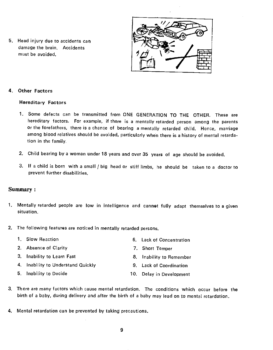<span id="page-17-0"></span>5. Head injury due to accidents can damage the brain. Accidents must be avoided.

![](_page_17_Picture_1.jpeg)

### 4. Other Factors

#### Hereditary Factors

- 1. Some defects can be transmitted from ONE GENERATION TO THE OTHER. These are hereditary factors. For example, if there is a mentally retarded person among the parents or the forefathers, there is a chance of bearing a mentally retarded child. Hence, marriage among blood relatives should be avoided, particularly when there is a history of mental retardation in the family.
- 2. Child bearing by a woman under 18 years and over 35 years of age should be avoided.
- 3. If a child is barn with a small / big head or stiff limbs, he should be taken to a doctor to prevent further disabilities.

#### Summary:

- 1. Mentally retarded people are low in intelligence and cannet fully adapt themselves to a given situation.
- 2. The following features are noticed in mentally retarded persons.

| 1. Slow Reaction                   | 6. Lack of Concentration |
|------------------------------------|--------------------------|
| 2. Absence of Clarity              | 7. Short Temper          |
| 3. Inability to Learn Fast         | 8. Inability to Remember |
| 4. Inability to Understand Quickly | 9. Lack of Coordination  |
| 5. Inability to Decide             | 10. Delay in Development |

- 3. There are many factors which cause mental retardation. The conditions which occur before the birth of a baby, during delivery and after the birth of a baby may lead on to mental retardation.
- 4. Mental retardation can be prevented by taking precautions.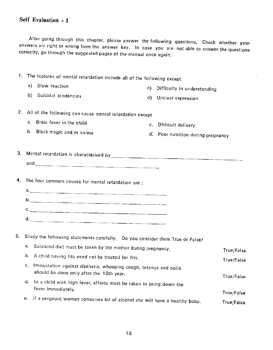<span id="page-18-0"></span>After going through this chapter, please answer the following questions. Check whether your answers are right or wrong from the answer key. In case you are not able to answer the questions correctly, go through the suggested pages of the manual once again.

| 1. | The features of mental retardation include all of the following except.                                            |     |                                    |            |
|----|--------------------------------------------------------------------------------------------------------------------|-----|------------------------------------|------------|
|    | Slow reaction<br>a)                                                                                                | C). | Difficulty in understanding        |            |
|    | b)<br>Suicidal tendencies                                                                                          | d)  | Unclear expression                 |            |
| 2. | All of the following can cause mental retardation except                                                           |     |                                    |            |
|    | Brain fever in the child<br>a.                                                                                     |     | c. Dfificult delivery              |            |
|    | b.<br>Black magic and/or karma                                                                                     |     | d. Poor nutrition during pregnancy |            |
|    |                                                                                                                    |     |                                    |            |
|    |                                                                                                                    |     |                                    |            |
|    |                                                                                                                    |     |                                    |            |
| 5. | Study the following statements carefully. Do you consider them True or False?                                      |     |                                    |            |
|    | Balanced diet must be taken by the mother during pregnancy.<br>а.                                                  |     |                                    | True/False |
|    | b.<br>A child having fits need not be treated for fits.                                                            |     |                                    | True/False |
|    | с,<br>Immuization against diptheria, whooping cough, tetanus and polio<br>should be done only after the 10th year. |     |                                    | True/False |
|    | d.<br>In a child with high fever, efforts must be taken to bring down the<br>fever immediately.                    |     |                                    | True/False |
|    | e. If a pregnant woman consumes lot of alcohol she will have a healthy baby,                                       |     |                                    | True/False |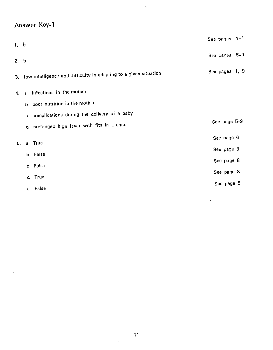# <span id="page-19-0"></span>Answer Key-i

 $\frac{1}{2}$ 

| 1. ხ |              |                                                                     | See pages $1-4$ |  |
|------|--------------|---------------------------------------------------------------------|-----------------|--|
| 2. b |              |                                                                     | See pages 5-9   |  |
|      |              | 3. Iow intelligence and difficulty in adapting to a given situation | See pages 1, 9  |  |
| 4.   | a            | Infections in the mother                                            |                 |  |
|      |              | b poor nutrition in the mother                                      |                 |  |
|      | c.           | complications during the delivery of a baby                         |                 |  |
|      |              | d prolonged high fever with fits in a child                         | See page 5-9    |  |
| 5.   | $\mathbf{a}$ | True                                                                | See page 6      |  |
|      |              | b False                                                             | See page 8      |  |
|      |              | False                                                               | See page 8      |  |
|      | C.           |                                                                     | See page 8      |  |
|      | d            | True                                                                | See page 5      |  |
|      |              | e False                                                             |                 |  |

 $\cdot$ 

 $\overline{a}$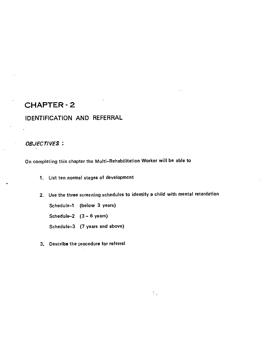# <span id="page-20-0"></span>CHAPTER -2

# IDENTIFICATION AND REFERRAL

#### OBJECTIVES:

On completing this chapter the Multi—Rehabilitation Worker will be able to

- 1. List ten normal stages of development
- 2. Use the three screening schedules to identify a child with mental retardation

 $\mathbb{S}^{\mathfrak{s}}_{\mathbb{Z}_2}$ 

Schedule—i (below 3 years)

Schedule-2  $(3-6 \text{ years})$ 

Schedule—3 (7 years and above)

3. Describe the procedure for referral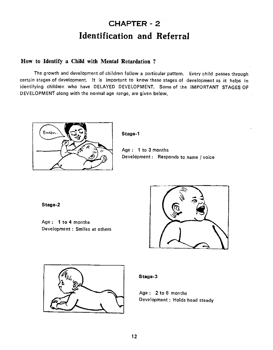# CHAPTER - 2 Identification and Referral

# How to Identify a Child with Mental Retardation ?

The growth and development of children follow a particular pattern. Every child passes through certain stages of development. It is important to know these stages of development as it helps in identifying children who have DELAYED DEVELOPMENT. Some of the IMPORTANT STAGES OF DEVELOPMENT along with the normal age range, are given below.

![](_page_21_Picture_3.jpeg)

Stage-i

Age : 1 to 3 months Development: Responds to name / voice

Stage-2

Age:  $1$  to 4 months Development : Smiles at others

![](_page_21_Picture_8.jpeg)

![](_page_21_Picture_9.jpeg)

#### Stage-3

Age  $: 2$  to 6 months Development : Holds head steady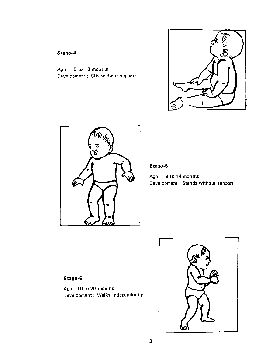![](_page_22_Picture_0.jpeg)

![](_page_22_Picture_1.jpeg)

Age : 5 to 10 months

Stage-4

Development : Sits without support

### Stage-S

Age  $: 9$  to 14 months Development : Stands without support

### Stage-6

Age: 10 to 20 months Development : Walks independently

![](_page_22_Picture_6.jpeg)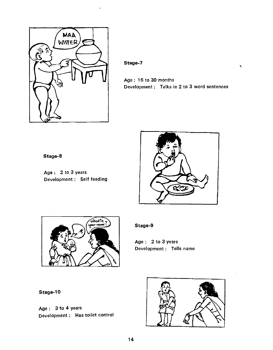![](_page_23_Picture_0.jpeg)

### Stage-7

Age: 16 to 30 months Development : Talks in 2 to 3 word sentences

# Stage-S

Age : 2 to 3 years Development : Self feeding

![](_page_23_Picture_5.jpeg)

![](_page_23_Picture_6.jpeg)

### Stage-9

Age: 2 to 3 years Development : Tells name

Stage-10

Age: 3 to 4 years Development : Has toilet control

![](_page_23_Picture_11.jpeg)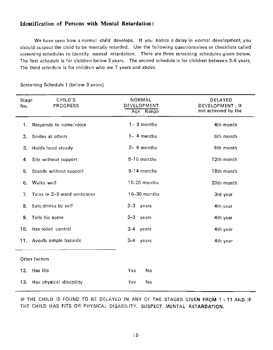## <span id="page-24-0"></span>Identification of Persons with Mental Retardation:

We have seen how a normal child develops, If you notice a delay in normal development, you should suspect the child to be mentally retarded. Use the following questionnaires or checklists called screening schedules to identify mental retardation. There are three screening schedules given below. The first schedule is for children below 3 years. The second schedule is for children between 3-6 years. The third schedule is for children who are 7 years and above.

| Stage<br>No. | CHILD'S<br><b>PROGRESS</b>  | <b>NORMAL</b><br>DEVELOPMENT<br>Age Range | DELAYED<br>DEVELOPMENT: If<br>not achieved by the |
|--------------|-----------------------------|-------------------------------------------|---------------------------------------------------|
| 1.           | Responds to name/voice      | 1- 3 months                               | 4th month                                         |
| 2.           | Smiles at others            | $1 - 4$ menths                            | 6th month                                         |
| 3.           | <b>Holds head steady</b>    | 2- 6 months                               | 6th month                                         |
| 4.           | Sits without support        | 5-10 months                               | 12th month                                        |
| 5.           | Stands without support      | 9-14 months                               | 18th month                                        |
| 6.           | Walks well                  | 10-20 months                              | 20th month                                        |
| 7.           | Talks in 2-3 word sentences | 16-30 months                              | 3rd year                                          |
| 8.           | Eats/drinks by self         | 2-3 years                                 | 4th year                                          |
| 9.           | Tells his name              | $2-3$ years                               | 4th year                                          |
| 10.          | Has toilet control          | 3-4 years                                 | 4th year                                          |
| 11.          | Avoids simple hazards       | $3-4$ years                               | 4th year                                          |
|              | Other factors               |                                           |                                                   |
| 12.          | Has fits                    | Yes<br>No                                 |                                                   |
| 13.          | Has physical disability     | Yes<br>No                                 |                                                   |

Screening Schedule I (below 3 years)

IF THE CHILD IS FOUND TO BE DELAYED IN ANY OF THE STAGES GIVEN FROM 1 - 11 AND IF THE CHILD HAS FITS OR PHYSICAL DISABILITY, SUSPECT MENTAL RETARDATION.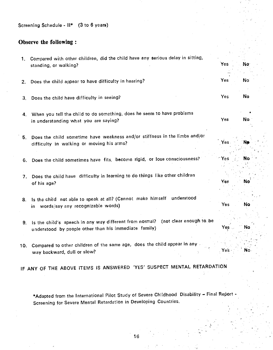<span id="page-25-0"></span>Screening Schedule - II\* (3 to 6 years)

### Observe the following:

- 1. Compared with other children, did the child have any serious delay in sitting, standing, or walking? No walking a standing or walking?
- 2. Does the child appear to have difficulty in hearing? The Most Communication of the North Communication of No
- 3. Does the child have difficulty in seeing? The Contract of the Contract of the Vest No. No. No. No. No. No. No
- 4. When you tell the child to do something, does he seem to have problems in understanding what you are saying? The Contract of the Contract of the Vest No.
- 5. Does the child sometime have weakness and/or stiffness in the limbs and/ordifficulty in walking or moving his arms? Yes 1 New Yes 15 New Yes 15 New Yes 15 New Yes
- 6. Does the child sometimes have fits, become rigid, or lose consciousness? Yes Yes No
- 7. Does the child have difficulty in learning to do things like other children of his age? No was not a set of the set of the set of the set of the set of the set of the set of the set of the set of the set of the set of the set of the set of the set of the set of the set of the set of the set of the
- 8. Is the child not able to speak at all? (Cannot make himself understood in words) in words/say any recognizable words) and the state of the North World World World World World World World World Wo
- 9. Is the child's speech in any way different from normal? (not clear enough to be understood by people other than his immediate family) and the non-thermodynamic No-
- 10. Compared to other children of the same age, does the child appear in any way backward, dull or slow? Yese No. 2012 12:00:00 No. 2012 12:00:00 No. 2012 12:00:00 No. 2013

IF ANY OF THE ABOVE ITEMS IS ANSWERED 'YES' SUSPECT MENTAL RETARDATION

\*Adapted from the International Pilot Study of Severe Childhood Disability - Final Report -Screening for Severe Mental Retardation in Developing Countries.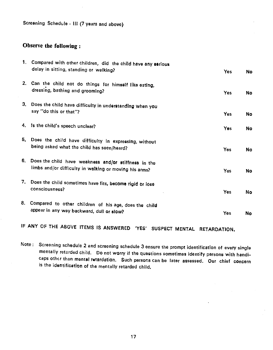<span id="page-26-0"></span>Screening Schedule - III (7 years and above)

# Observe the following:

|      | 1. Compared with other children, did the child have any serious<br>delay in sitting, standing or walking?      | Yes | No |
|------|----------------------------------------------------------------------------------------------------------------|-----|----|
|      | 2. Can the child not do things for himself like eating,<br>dressing, bathing and grooming?                     | Yes | No |
|      | 3. Does the child have difficulty in understanding when you<br>say "do this or that"?                          | Yes | No |
|      | 4. Is the child's speech unclear?                                                                              | Yes | No |
|      | 5. Does the child have difficulty in expressing, without<br>being asked what the child has seen/heard?         | Yes | No |
| 6.   | Does the child have weakness and/or stiffness in the<br>limbs and/or difficulty in walking or moving his arms? | Yes | No |
| 7.   | Does the child sometimes have fits, become rigid or lose<br>consciousness?                                     | Yes | No |
| 8. . | Compared to other children of his age, does the child<br>appear in any way backward, dull or slow?             | Yes | No |

IF ANY OF THE ABOVE ITEMS IS ANSWERED 'YES' SUSPECT MENTAL RETARDATION.

Note: Screening schedule 2 and screening schedule 3 ensure the prompt identification of every single mentally retarded child. Do not worry if the questions sometimes identify persons with handicaps other than mental retardation. Such persons can be later assessed. Our chief concern is the identificetion of the mentally retarded child,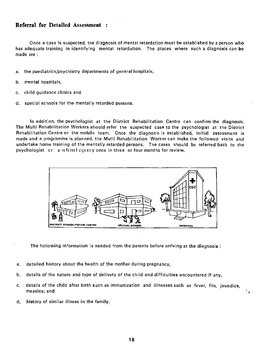#### <span id="page-27-0"></span>Referral for Detailed Assessment

Once a case is suspected, me diagnosis of mental retardation must be established by a person who has adequate training in identifying mental retardation. The places where such a diagnosis can be made are

- a. the paediatrics/psychiatry departments of general hospitals,
- b. mental hospitals,
- c. child guidance clinics and
- d. special schools for the mentally retarded persons.

In addition, the psychologist at the District Rehabilitation Centre can confirm the diagnosis. The Multi Rehabilitation Workers should refer the suspected case to the psychologist at the District Rehabilitation Centre or the mobile team. Once the diagnosis is established, initial assessment is made and a programme is planned, the Multi Rehabilitation Worker can make the followup visits and undertake home training of the mentally retarded persons. The cases should be referred back to the psychologist or a referrel agency once in three or four months for review.

![](_page_27_Figure_7.jpeg)

The following information is needed from the parents before arriving at the diagnosis:

- a. detailed history about the health of the mother during pregnancy,
- b. details of the nature and type of delivery of the child and difficulties encountered if any,
- c. details of the child after birth such as immunization and illnesses such as fever, fits, jaundice, measles; and

4

d. history of similar illness in the family.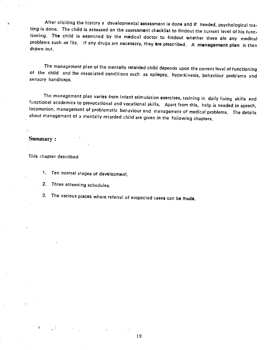<span id="page-28-0"></span>After eliciting the history a developmental assessment is done and if needed, psychological testing is done. The child is assessed on the assessment checklist to findout the current level of his func-<br>tioning. The child is examined by the medical doctor to findout whether there are any medical problems such as fits. If any drugs are necessary, they are prescribed. A management plan is then drawn out.

The management plan of the mentally retarded child depends upon the current level of functioning of the child and the associated conditions such as epilepsy, hyperkinesis, behaviour problems and sensory handicaps.

The management plan varies from infant stimulation exercises, training in daily living skills and functional academics to prevocational and vocational skills. Apart from this, help is needed in speech, locomotion, management of problematic behaviour and management of medical problems. The details about management of a mentally retarded child are given in the following chapters.

Summary:

This chapter described

- 1. Ten normal stages of development.
- 2. Three screening schedules.
- 3. The various places where referral of suspected cases can be made,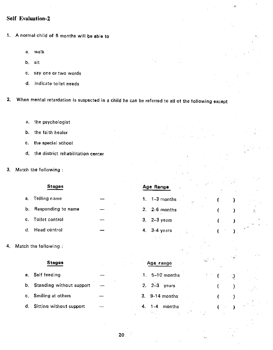# <span id="page-29-0"></span>Self Evaluation-2

- 1. A normal child of 6 months will be able to
	- a. walk
	- b. sit
	- c. say one or two words
	- d. indicate toilet needs
- 2. When mental retardation is suspected in a child he can be referred to all of the following except
	- a. the psychologist
	- b. the faith healer
	- c. the special school
	- d. the district rehabilitation center
- 3. Match the following

#### Stages

- a. Telling name
- b. Responding to name
- c. Toilet control
- d. Head control

# Age Range

1. 1-3 months

( }

 $(\hspace{0.05cm})$  ) and

 $(\Box \otimes \Box)$  ,  $\Box$ 

 $\overline{\textbf{C}}\left(\mathbf{Q}\right) = \begin{bmatrix} \mathbf{C} & \mathbf{C} & \mathbf{C} \\ \mathbf{C} & \mathbf{C} & \mathbf{C} & \mathbf{C} \end{bmatrix}$ 

 $\left($ 

 $($   $)$ 

ť

 $($  )  $)$   $\in$   $\mathbb{R}$ 

 $\mathcal{E}$ 

- 2. 2-6 months
- 3. 2—3 years
- 4. 3-4 years

4. Match the following

#### Stages

- a. Self feeding
- b. Standing without support
- c. Smiling at others
- d. Sitting without support

### Age range

- 1. 5—1Omonths
- 2. 2—3 years
- 3. 9-14 months
- 4. 1-4 months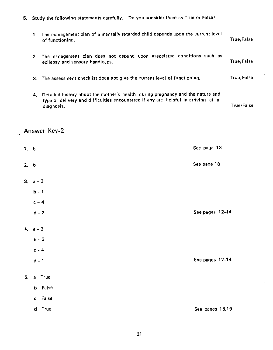<span id="page-30-0"></span>5. Study the foltowing statements carefully. Do you consider them as True or False?

| 1. | The management plan of a mentally retarded child depends upon the current level<br>of functioning.                                                                                | True/False |
|----|-----------------------------------------------------------------------------------------------------------------------------------------------------------------------------------|------------|
| 2. | The management plan does not depend upon associated conditions such as<br>epilepsy and sensory handicaps.                                                                         | True/False |
|    | 3. The assessment checklist does not give the current level of functioning.                                                                                                       | True/False |
| 4. | Detailed history about the mother's health during pregnancy and the nature and<br>type of delivery and difficulties encountered if any are helpful in arriving at a<br>diagnosis. | True/False |

# Answer Key-2

| 1. b           |                         | See page 13     |
|----------------|-------------------------|-----------------|
| 2. b           |                         | See page 18     |
| 3 <sub>l</sub> | $a - 3$                 |                 |
|                | $b - 1$                 |                 |
|                | $c - 4$                 |                 |
|                | $d - 2$                 | See pages 12-14 |
|                | $4. a - 2$              |                 |
|                | $b - 3$                 |                 |
|                | $c - 4$                 |                 |
|                | $d - 1$                 | See pages 12-14 |
| 5.             | a True                  |                 |
|                | <b>b</b> False          |                 |
|                | False<br>$\mathbf{C}^-$ |                 |
|                | $\mathbf d$<br>True     | See pages 18,19 |

 $\frac{1}{2}$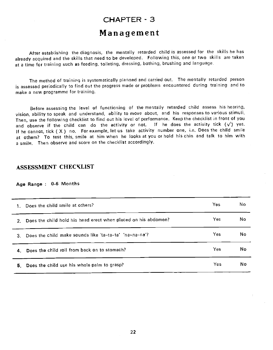# CHAPTER - 3 Management

<span id="page-31-0"></span>After establishing the diagnosis, the mentally retarded child is assessed for the skills he has already acquired and the skills that need to be developed. Following this, one or two skills are taken at a time for training such as feeding, toileting, dressing, bathing, brushing and language.

The method of training is systematically planned and caried out. The mentally retarded person is assessed periodically to find out the progress made or problems encountered during training and to make a new programme for training.

Before assessing the level of functioning of the mentally retarded child assess his hearing, vision, ability to speak and understand, ability to move about, and his responses to various stimuli. Then, use the following checklist to find out his level of performance. Keep the checklist in front of you and observe if the child can do the activity or not. If he does the activity tick  $(\sqrt)$  yes. If he cannot, tick ( X ) no. For example, let us take activity number one, i.e. Does the child smile at others? To test this, smile at him when he looks at you or hold his chin and talk to him with a smile. Then observe and score on the checklist accordingly.

# ASSESSMENT CHECXLIST

#### Age Range : 0-6 Months

| Does the child smile at others?<br>1.                                | Yes  | No. |
|----------------------------------------------------------------------|------|-----|
| Does the child hold his head erect when placed on his abdomen?<br>2. | Yes  | No. |
| 3. Does the child make sounds like 'ta-ta-ta' 'na-na-na'?            | Yes  | No  |
| 4. Does the child roll from back on to stomach?                      | Yes. | No  |
| 5. Does the child use his whole palm to grasp?                       | Yes  | No  |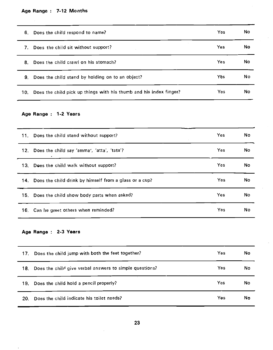# Age Range : 7-12 Months

<u>and the state of the state of the state</u>

| 6.  | Does the child respond to name?                                    | Yes. | No |  |
|-----|--------------------------------------------------------------------|------|----|--|
| 7.  | Does the child sit without support?                                | Yes  | No |  |
| 8.  | Does the child crawl on his stomach?                               | Yes  | No |  |
| 9.  | Does the child stand by holding on to an object?                   | Yes  | No |  |
| 10. | Does the child pick up things with his thumb and his index finger? | Yes. | No |  |

# Age Range : 1-2 Years

| 11. Does the child stand without support?                  | <b>Yes</b> | No |
|------------------------------------------------------------|------------|----|
| 12. Does the child say 'amma', 'atta', 'tata'?             | <b>Yes</b> | No |
| 13. Does the child walk without support?                   | Yes        | No |
| 14. Does the child drink by himself from a glass or a cup? | Yes        | No |
| 15. Does the child show body parts when asked?             | Yes        | No |
| 16. Can he greet others when reminded?                     | <b>Yes</b> | No |

# Age Range : 2-3 Years

 $\overline{\phantom{a}}$ 

| Does the child jump with both the feet together?<br>17.        | No<br>Yes  |  |
|----------------------------------------------------------------|------------|--|
| Does the child give verbal answers to simple questions?<br>18. | Yes<br>No  |  |
| Does the child hold a pencil properly?<br>19.                  | Yes.<br>No |  |
| Does the child indicate his toilet needs?<br>20.               | No<br>Yes  |  |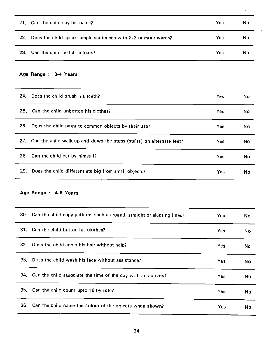|                 | 21. Can the child say his name?                               | Yes | No  |  |
|-----------------|---------------------------------------------------------------|-----|-----|--|
| 22 <sub>1</sub> | Does the child speak simple sentences with 2-3 or more words? | Yes | No. |  |
| -23.            | Can the child match colours?                                  | Yes | No  |  |

### Age Range : 3-4 Years

| 24. | Does the child brush his teeth?                                          | Yes        | No  |
|-----|--------------------------------------------------------------------------|------------|-----|
|     | 25. Can the child unbotton his clothes?                                  | <b>Yes</b> | No  |
| 26. | Does the child point to common objects by their use?                     | Yes        | No. |
|     | 27. Can the child walk up and down the steps (stairs) on alternate feet? | Yes        | No  |
|     | 28. Can the child eat by himself?                                        | Yes        | No  |
| 29. | Does the child differentiate big from small objects?                     | Yes        | No  |

### Age Range : 4-5 Years

|     | 30. Can the child copy patterns such as round, straight or slanting lines? | Yes        | No  |
|-----|----------------------------------------------------------------------------|------------|-----|
|     | 31. Can the child button his clothes?                                      | Yes        | No. |
|     | 32. Does the child comb his hair without help?                             | <b>Yes</b> | No. |
| 33. | Does the child wash his face without assistance?                           | Yes        | No  |
|     | 34. Can the child associate the time of the day with an activity?          | Yes.       | No  |
|     | 35. Can the child count upto 10 by rote?                                   | Yes        | No  |
|     | 36. Can the child name the colour of the objects when shown?               | <b>Yes</b> | No  |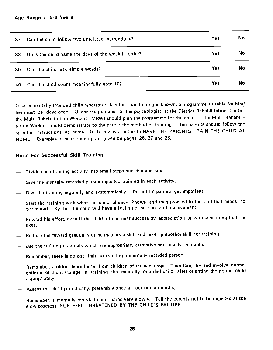<span id="page-34-0"></span>

|     | 37. Can the child follow two unrelated instructions? | Yes | No  |
|-----|------------------------------------------------------|-----|-----|
| 38. | Does the child name the days of the week in order?   | Yes | No  |
|     | 39. Can the child read simple words?                 | Yes | No. |
|     | 40. Can the child count meaningfully upto 10?        | Yes | No  |

Once a mentally retarded child's/person's level of functioning is known, a programme suitable for him/ her must be developed. Under the guidance of the psychologist at the District Rehabilitation Centre, the Multi Rehabilitation Workers (MRW) should plan the programme for the child. The Multi Rehabilitation Worker should demonstrate to the parent the method of training. The parents should follow the specific instructions at home. It is always better to HAVE THE PARENTS TRAIN THE CHILD AT HOME. Examples of such training are given on pages 26, 27 and 28.

#### Hints For Successful Skill Training

- Divide each training activity into small steps and demonstrate.
- Give the mentally retarded person repeated training in each activity.
- Give the training regularly and systematically. Do not let parents get impatient.
- Start the training with what the child already knows and then proceed to the skill that needs to be trained. By this the child will have a feeling of success and achievement.
- Reward his effort, even if the child attains near success by appreciation or with something that he likes.
- Reduce the reward gradually as he masters a skill and take up another skill for training.
- Use the training materials which are appropriate, attractive and locally available.
- Remember, there is no age limit for training a mentally retarded person.
- Remember, children learn better from children of the same age. Therefore, try and involve normal children of the same age in training the mentally retarded child, after orienting the normal child appropriately.
- Assess the child periodically, preferably once in four or six months,
- Remember, a mentally retarded child learns very slowly. Tell the parents not to be dejected at the slow progress, NOR FEEL THREATENED BY THE CHILD'S FAILURE.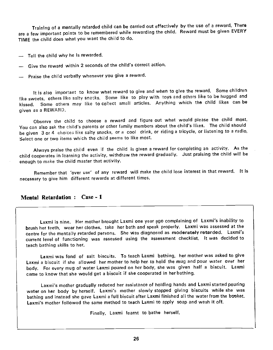<span id="page-35-0"></span>Training of a mentally retarded child can be carried out effectively by the use of a reward. There are a few important points to be remembered while rewarding the child. Reward must be given EVERY TIME the child does what you want the child to do.

- Tell the child why he is rewarded.
- $-$  Give the reward within 2 seconds of the child's correct action.
- Praise the child verbally whenever you give a reward.

It is also important to know what reward to give and when to give the reward. Some children like sweets, others like salty snacks. Some like to play with toys and others like to be hugged and kissed. Some others may like to collect small articles. Anything which the child likes can be given as a REWARD.

Observe the child to choose a reward and figure out what would please the child most. You can also ask the child's parents or other family members about the child's likes. The child should be given 3 or 4 choices like salty snacks, or a cool drink, or riding a tricycle, or listening to a radio. Select one or two items which the child seems to like most.

Always praise the child even if the child is given a reward for completing an activity. As the child cooperates in learning the activity, withdraw the reward gradually. Just praising the child will be enough to make the child master that activity.

Remember that 'over use' of any reward will make the child lose interest in that reward. It is necessary to give him different rewards at different times.

#### Mental Retardation: Case - 1

Laxmi is nine. Her mother brought Laxmi one year ago complaining of Laxmi's inability to brush her teeth, wear her clothes, take her bath and speak properly. Laxmi was assessed at the centre for the mentally retarded persons. She was diagnosed as moderately retarded. Laxmi's current level of functioning was assessed using the assessment checklist, it was decided to teach bathing skills to her.

Laxmi was fond of salt biscuits. To teach Laxmi bathing, her mother was asked to give Laxmi a biscuit if she allowed her mother to help her to hold the mug and pour water over her body. For every mug of water Laxmi poured on her body, she was given half a biscuit. Laxmi came to know that she would get a biscuit if she cooperated in her bathing.

Laxmi's mother gradually reduced her assistance of holding hands and Laxmi started pouring water on her body by herself. Laxmi's mother slowly stopped giving biscuits while she was bathing and instead she gave Laxmi a full biscuit after Laxmi finished all the water from the bucket. Laxmi's mother followed the same method to teach Laxmi to apply soap and wash it off.

Finally, Laxmi learnt to bathe herself.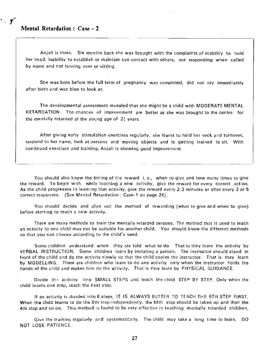$\mathcal{L}$ 

Anjali is three. Six months back she was brought with the complaints of inability to hold her head, inability to establish or maintain eye contact with others, not responding when called by name and not turning over or sitting.

She was born before the full term of pregnancy was completed, did not cry immediately after birth and was blue to look at.

The developmental assessment revealed that she might be a child with MODERATE MENTAL RETARDATION. The chances of improvement are better as she was brought to the centre for the mentally retarded at the young age of  $2\frac{1}{2}$  years.

After giving early stimulation exercises regularly, she learnt to hold her neck and turnover, respond to her name, look at persons and moving objects and is getting trained to sit. With continued exercises and training, Anjali is showing good improvement.

You should also know the timing of the reward i. e., when to give and how many times to give the reward. To begin with, while teaching a new activity, give the reward for every correct action. As the child progresses in learning that activity, give the reward evcry 2-3 minutes or after every 3 or 5 óorrect responses. (See Mental Retardation Case-i on page 26).

You should decide and plan out the method of rewarding (what to give and when to give) before starting to teach a new activity.

There are many methods to train the mentally retarded persons. The method that is used to teach an activity to one child may not be suitable for another child. You should know the different methods so that you can choose according to the child's need.

Some children understand when they are told what to do. That is they learn the activity by VERBAL INSTRUCTION. Some children learn by imitating a person. The instructor should stand in front of the child and do the activity slowly so that the child copies the instructor. That is they learn by MODELLING. There are children who learn to do any activity only when the instructor holds the hands of the child and makes him do the activity. That is they learn by PHYSICAL GUIDANCE.

Divide the activity into SMALL STEPS and teach the child STEP BY STEP. Only when the child learns one step, teach the next step.

If an activity is divided into 6 steps, IT IS ALWAYS BETTER TO TEACH THE 6TH STEP FIRST. When the child learns to do the 6th step-independently, the fifth step should be taken up and then the 4th step and so on. This method is found to be very effective in teaching mentally retarded children.

Give the training regularly and systematically. The child may take a long time to learn, DO NOT LOSE PATIENCE.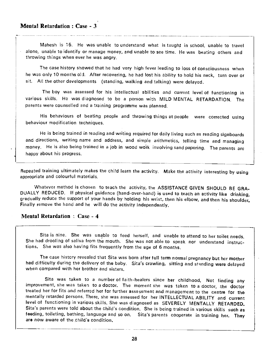## Mental Retardation : Case - 3

Mahesh is 15. He was unable to understand what is taught in school, unable to travel alone, unable to identify or manage money, and unable to see time. He was beating others and throwing things when ever he was angry.

The case history showed that he had very high fever leading to loss of consciousness when he was only 10 months old. After recovering, he had lost his ability to hold his neck, turn over or sit, All the other developments (standing, walking and talking) were delayed.

The boy was assessed for his intellectual abilities and current level of functioning in various skills. He was diagnosed to be a person with MILD MENTAL RETARDATION. The parents were counselled and a training programme was planned.

His behaviours of beating people and throwing things at people were corrected using behaviour modification techniques.

He is being trained in reading and writing required for daily living such as reading signboards and directions, writing name and address, and simple arithmetics, telling time and managing money. He is also being trained in a job in wood work involving sand papering. The parents are happy about his progress.

Repeated training ultimately makes the child learn the activity. Make the activity interesting by using appropriate and colourful materials.

Whatever method is chosen to teach the activity, the ASSISTANCE GIVEN SHOULD BE GRA-DUALLY REDUCED. If physical guidance (hand-over-hand) is used to teach an activity like drinking, gradually reduce the support of your hands by holding his wrist, then his elbow, and then his shoulder. Finally remove the hand and he will do the activity independently.

### Mental Retardation : Case - 4

Sita is nine. She was unable to feed herself, and unable to attend to her toilet needs. She had drooling of saliva from the mouth. She was not able to speak nor understand instructions. She was also having fits frequently from the age of 6 months.

The case history revealed that Sita was born after full term normal pregnancy but her mother had difficulty during the delivery of the baby. Sita's crawling, sitting and standing were delayed when compared with her brother and sisters.

Sita was taken to a number of faith-healers since her childhood. Not finding any improvement, she was taken to a doctor. The moment she was taken to a doctor, the doctor treated her for fits and referred her for further assessment and management to the centre for the mentally retarded persons. There, she was assessed for her INTELLECTUAL ABILITY and current level of functioning in various skills. She was diagnosed as SEVERELY MENTALLY RETARDED. Sita's parents were told about the child's condition. She is being trained in various skills such as feeding, toileting, bathing, language and so on. Sita's parents cooperate in training her. They are now aware of the child's condition.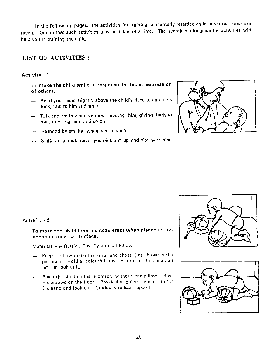<span id="page-38-0"></span>In the following pages, the activities for training a mentally retarded child in various areas are given. One or two such activities may be taken at a time. The sketches alongside the activities will help you in training the child

# LIST OF ACTIVITIES:

#### Activity - 1

To make the child smile in response to facial expression  $\begin{pmatrix} \cdot & \cdot & \cdot \end{pmatrix}$ of others.

- Bend your head slightly above the childs face to catch his look, talk to him and smile.
- Tatk and smile when you are feeding him, giving bath to him, dressing him, and so on.
- Respond by smiling whenever he smiles.
- -- Smile at him whenever you pick him up and play with him.

![](_page_38_Figure_8.jpeg)

![](_page_38_Picture_9.jpeg)

![](_page_38_Picture_10.jpeg)

#### Activity - 2

To make the child hold his head erect when placed on his abdomen on a flat surface.

Materials — A Rattle / Toy, Cylindrical Pillow.

- Keep a pillow under his arms and chest (as shown in the picture ). Hold a colourful toy in front of the child and let him look at it.
- Place the child on his stomach without the pillow. Rest his elbows on the floor. Physically guide the child to lift his hand and look up. Gradually reduce support.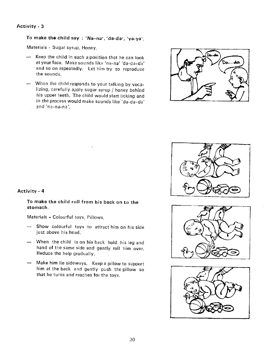To make the child say: 'Na-na', 'da-da', 'ya-ya',

Materials - Sugar syrup, Honey.

- $\rightarrow$  Keep the child in such a position that he can look at your face. Make sounds like 'na-na' 'da-da—da' and so on repeatedly. Let him try to reproduce the sounds.
- When the child responds to your talking by vocalizing, carefully apply sugar syrup / honey behind his upper teeth. The child would start licking and in the process would make sounds like 'da-da-da' nd 'na-na-na',

![](_page_39_Picture_5.jpeg)

![](_page_39_Picture_6.jpeg)

![](_page_39_Picture_7.jpeg)

![](_page_39_Picture_8.jpeg)

#### Activity - 4

To make the child roll from his back on to the stomach.

Materials — Colourful toys, Pillows.

- Show colourful toys to attract him en his side just above his head.
- When the child is on his back hold his leg and hand of the same side and gently rol I him over. Reduce the help gradually.
- Make him lie sideways. Keep a pillow to support him at the back and gently push the pillow so that he turns and reaches for the toys.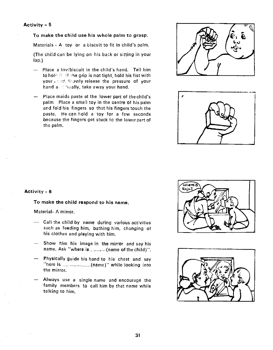#### To make the child use his whole palm to grasp.

Materials - A toy or a biscuit to fit in child's palm.

(The child can be lying on his back or sitting in your lap.)

- Place a toy/biscuit in the child's hand. Tell him to holr If he grip is not tight, hold his fist with your read. Showly release the pressure of your hand a refinally, take away your hand.
- Place maida paste at the lower part of the child's palm. Place a small toy in the centre of his palm and fold his fingers so that his fingers touch the paste. He can hold a toy for a few seconds because the fingers get stuck to the lower part of the palm.

![](_page_40_Picture_6.jpeg)

![](_page_40_Picture_7.jpeg)

#### Activity - 6

To make the child respond to his name.

Material- A mirror.

- Call the child by name during various activities such as feeding him, bathing him, changing of his clothes and playing with him.
- Show him his image in the mirror and say his  $\frac{1}{2}$ name. Ask "where is...........(name of the child)".
- Physically guide his hand to his chest and say "here is.....  $...,...,$  (name)" while looking into the mirror.
- Always use a single name and encourage the family members to call him by that name while talking to him.

![](_page_40_Picture_15.jpeg)

![](_page_40_Picture_16.jpeg)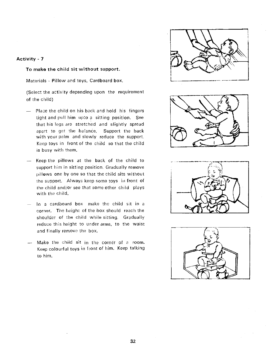To make the child sit without support.

Materials - Pillow and toys, Cardboard box.

(Select the activity depending upon the requirement of the child)

- $-$  Place the child on his back and hold his fingers tight and pull him upto a sitting position. See that his legs are stretched and slightly spread apart to get the balanée. Support the back with your palm and slowly reduce the support. Keep toys in front of the child so that the child is busy with them.
- Keep the pillows at the back of the child to support him in sitting position. Gradually remove pillows one by one so that the child sits without the support. Always keep some toys in front of the child and/or see that some other child plays with the child.
- In a cardboard box make the child sit in a corner. The height of the box should reach the shoulder of the child while sitting. Gradually reduce this height to under arms, to the waist and finally remove the box.
- Make the child sit in the corner of a room. Keep colourful toys in front of him. Keep talking to him.

![](_page_41_Picture_8.jpeg)

![](_page_41_Picture_9.jpeg)

![](_page_41_Picture_10.jpeg)

![](_page_41_Picture_11.jpeg)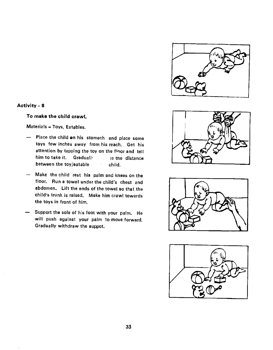![](_page_42_Picture_0.jpeg)

#### To make the child crawl.

Materials — Toys, Eatables.

- Place the child en his stomach and place some toys few inches away from his reach. Get his attention by tapping the toy on the floor and tell him to take it. Gradually se the distance between the toy/eatable child.
- Make the child rest his palm and knees on the floor. Run a towel under the child's chest and abdomen. Lift the ends of the towel so that the child's trunk is raised. Make him crawl towards the toys in front of him.
- Support the sole of his foot with your palm. He will push against your palm to move forward. Gradually withdraw the suppot.

![](_page_42_Figure_7.jpeg)

![](_page_42_Picture_8.jpeg)

![](_page_42_Picture_9.jpeg)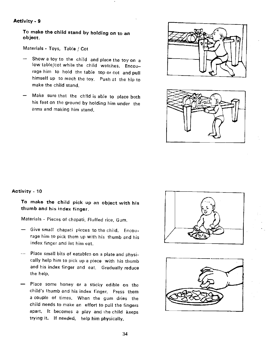To make the child stand by holding on to an object.

Materials - Toys, Table / Cot

- Show a toy to the child and place the toy on a low table/cot while the child watches. Encourage him to hold the table top or cot and pull himself up to reach the toy. Push at the hip to make the child stand.
- Make sure that the child is able to place both his feet on the ground by holding him under the arms and making him stand.

![](_page_43_Picture_5.jpeg)

![](_page_43_Picture_6.jpeg)

#### Activity - 10

To make the child pick up an object with his thumb and his index finger.

Materials - Pieces of chapati, Fluffed rice, Gum.

- Give small chapati pieces to the child. Encourage him to pick them up with his thumb and his index finger and let him eat.
- Place small bits of eatables on a plate and physically help him to pick up a piece with his thumb and his index finger and eat. Gradually reduce the help.
- Place some honey or a sticky edible on the child's thumb and his index finger. Press them a couple of times. When the gum dries the child needs to make an effort to pull the fingers apart. It becomes a play and the child keeps trying it. If needed, help him physically.

![](_page_43_Picture_13.jpeg)

![](_page_43_Picture_14.jpeg)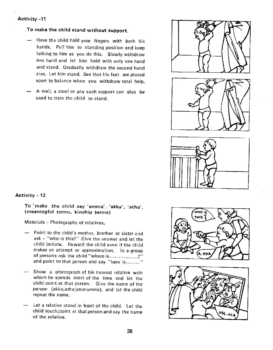#### Activity —11

## To make the child stand without support.

- Have the child hold your fingers with both his hands. Pull him to standing position and keep talking to him as you do this. Slowly withdraw one hand and let him hold with only one hand and stand. Gradually withdraw the second hand also. Let him stand. See that his feet are placed apart to balance when you withdraw total help.
- $-$  A wall, a stool or any such support can also be used to train the child to stand.

![](_page_44_Picture_4.jpeg)

### Activity - 12

To make the child say 'amma', 'akka', 'atha'. (meaningful terms, kinship terms)

Materials - Photographs of relatives.

- Point to the child's mother, brother or sister and ask - "who is this?" Give the answer and let the child imitate. Reward the child even if the child makes an attempt or approximation. In a group of persons ask the child "where is..................?" and point to that person and say "here is........."
- Show a photograph of his nearest relative with whom he spends most of the time and let the child point at that person. Give the name of the person (akka/atha/ammamma), and let the child repeat the name.
- Let a relative stand in front of the child, Let the child touch/point at that person and say the name of the relative.

![](_page_44_Picture_11.jpeg)

![](_page_44_Picture_12.jpeg)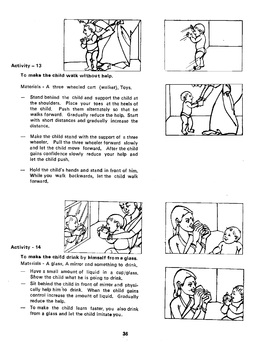![](_page_45_Picture_0.jpeg)

### Activity —13

To make the child walk without help.

Materials - A three wheeled cart (walker), Toys.

- Stand behind the child and support the child at the shoulders. Place your toes at the heels of the child. Push them alternately so that he walks forward. Gradually reduce the help. Start with short distances and gradually increase the distance.
- Make the child stand with the support of a three wheeler. Pull the three wheeler forward slowly and let the child move forward. After the child gains confidence slowly reduce your help and let the child push.
- Hold the child's hands and stand in front of him. While you walk backwards, let the child walk forward.

![](_page_45_Picture_7.jpeg)

![](_page_45_Picture_8.jpeg)

![](_page_45_Picture_9.jpeg)

### Activity - 14

Materials - A glass, A mirror and something to drink. To make the child drink by himself from a glass,

- Have a small amount of liquid in a cup/glass. Show the child what he is going to drink.
- Sit behind the child in front of mirror and physically help him 'to drink. When the child gains control increase the amount of liquid. Gradually reduce the help.
- To make the child learn faster, you also drink from a glass and let the child imitate you.

![](_page_45_Picture_15.jpeg)

![](_page_45_Picture_16.jpeg)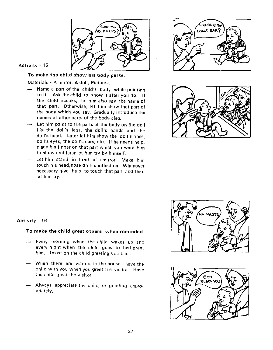![](_page_46_Picture_0.jpeg)

To make the child show his body parts.

### Materials - A mirror, A doll, Pictures.

- Name a part of the child's body while pointing to it. Ask the child to show it after you do. If the child speaks, let him also say the name of that part. Otherwise, let him show that part of the body which you say. Gradually introduce the names of other parts of the body also.
- Let him point to the parts of the body on the doll like the doll's legs, the doll's hands and the doll's head. Later let him show the doll's nose, doll's eyes, the doll's ears, etc. If he needs help, place his finger on that part which you want him to show and later let him try by himself.
- Let him stand in front of a mirror. Make him touch his head/nose on his reflection. Whenever necessary give help to touch that part and then let him try.

![](_page_46_Picture_7.jpeg)

![](_page_46_Picture_8.jpeg)

![](_page_46_Picture_9.jpeg)

![](_page_46_Picture_10.jpeg)

### Activity . 16

#### To make the child greet others when reminded.

- Every morning when Ihe child wakes up and every night when the child goes to bed greet him. Insist on the child greeting you back.
- When there are visitors in the house, have the child with you when you greet the visitor. Have the child greet the visitor.
- Always appreciate the child for greeting appropriately,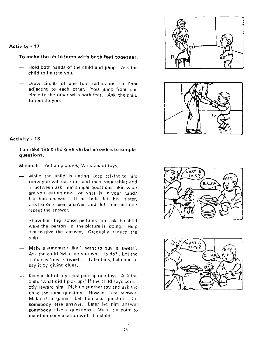#### To make the child jump with both feet together.

- Hold both hands of the child and jump. Ask the child to imitate you.
- Draw circles of one toot radius on the floor adjacent to each other. You jump from one circle to the other with both feet. Ask the child to imitate you.

![](_page_47_Figure_4.jpeg)

![](_page_47_Picture_5.jpeg)

#### Activity —18

To make the child give verbal answers to simple questions.

Materials - Action pictures, Varieties of toys.

- While the child is eating keep talking to him (now you will eat roti, and then vegetable) and in between ask him simple questions like what are you eating now, or what is in your hand? Let him answer. If he fails, let his sister, brother or a peer answer and let him imitate / repeat the answer.
- Show him big action pictures and ask the child what the person in the picture is doing. Help him to give the answer. Gradually reduce the help.
- Make a statement like 'I want to buy a sweet'. Ask the child 'what do you want to do?'. Let the child say 'buy a sweet', If he fails, help him to say it by giving clues.
- Keep a lot of toys and pick up one toy. Ask the child 'what did I pick up?' If the child says correctly reward him. Pick up another toy and ask the child the same question. Now let him answer. Make it a game. Let him ask questions, let somebody else answer. Later let him answer somebody else's questions. Make it a point to maintain conversation with the child.

![](_page_47_Picture_13.jpeg)

![](_page_47_Picture_14.jpeg)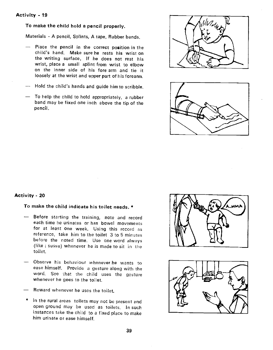To make the child hold a pencil properly.

Materials - A pencil, Splints, A tape, Rubber bands.

- Place the pencil in the correct position in the child's hand. Make sure he rests his wrist on the writing surface. If he does not rest his wrist, place a small splint from wrist to elbow on the inner side of his fore arm and tie it loosely at the wrist and upper part of his forearm.
- Hold the child's hands and guide him to scribble.
- To help the child to hold appropriately, a rubber band may be fixed one inch above the tip of the pencil.

![](_page_48_Figure_6.jpeg)

![](_page_48_Figure_7.jpeg)

#### Activity - 20

To make the child indicate his toilet needs. \*

- Before starting the training, note and record each time he urinates or has bowel movements for at least one week. Using this record as reference, take him to the toilet 3 to 5 minutes before the noted time. Use one word always (like ; sussu) whenever he is made to sit in the toilet.
- Observe his behaviour whenever he wants to ease himself. Provide a gesture along with the word. See that the child uses the gesturewhenever he goes to the toilet.
- Reward whenever he uses the toilet.
- \* In the rural areas toilets may not be present and open ground may be used as toilets. In such instances take the child to a fixed place to make him urinate or ease himself.

![](_page_48_Picture_14.jpeg)

![](_page_48_Picture_15.jpeg)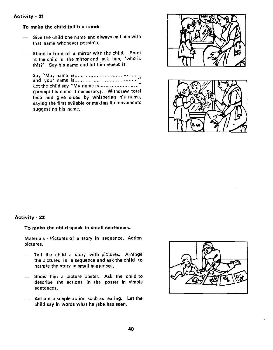To make the child tell his name.

- Give the child one name and always call him with that name whenever possible.
- Stand in front of a mirror with the child. Point at the child in the mirror and ask him; 'who is this?' Say his name and let him repeat it.
- Say "May name is and your name is Let the child say "My name is............................" (prompt his name if necessary). Withdraw total help and give clues by whispering his name, saying the first syllable or making lip movements suggesting his name.

![](_page_49_Figure_5.jpeg)

![](_page_49_Picture_6.jpeg)

#### Activity - 22

#### To make the child speak in small sentences.

Materials - Pictures of a story in sequence, Action pictures.

- Tell the child a story with pictures. Arrange the pictures in a sequence and ask the child to narrate the story in small sentences.
- Show him a picture poster. Ask the child to describe the actions in the poster in simple sentences.
- Act out a simple action such as eating. Let the child say in words what he /she has seen.

![](_page_49_Figure_13.jpeg)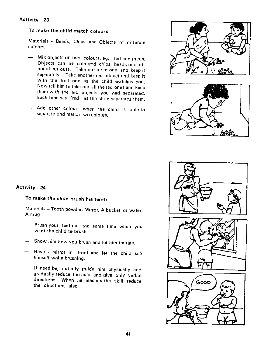# To make the child match colours.

Materials — Beads, Chips and Objects of different colours.

- Mix objects of two colours, eg. red and green. Objects can be coloured chips, beads or cardboard cut outs. Take out a red one and keep it<br>separately. Take another red object and keep it with the first one as the child watches you.<br>Now tell him to take out all the red ones and keep them with the red objects you had separated. Each time say 'red' as the child separates them.
- Add other colours when the child is able to separate and match two colours.

![](_page_50_Picture_5.jpeg)

![](_page_50_Figure_6.jpeg)

#### Activity - 24

# To make the child brush his teeth.

Materials – Tooth powder, Mirror, A bucket of water, A mug.

- Brush your teeth at the same time when you want the child to brush.
- Show him how you brush and let him imitate.
- Have a mirror in front and let the child see himself while brushing.
- If need be, initially guide him physically and gradually reduce the help and give only verbal directions. When he masters the skill reduce the directions also.

![](_page_50_Figure_14.jpeg)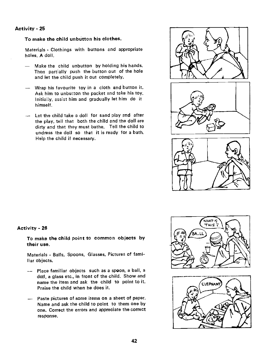#### To make the child unbutton his clothes.

Materials - Clothings with buttons and appropriate holes, A doll.

- Make the child unbutton by holding his hands. Then partially push the button out of the hole and let the child push it out completely.
- Wrap his favourite toy in a cloth and button it. Ask him to unbutton the packet and take his toy. Initially, assist him and gradually let him do it himself.
- Let the child take a doll for sand play and after the play, tell that both the child and the doll are dirty and that they must bathe. Tell the child to undress the doll so that it is ready for a bath. Help the child if necessary.

![](_page_51_Picture_6.jpeg)

#### Activity - 26

To make the child point to common objects by their use.

Materials - Balls, Spoons, Glasses, Pictures of familiar objects.

- Place familiar objects such as a spoon, a ball, a doll, a glass etc., in front of the child. Show and name the item and ask the child to point to it. Praise the child when he does it.
- Paste pictures of some items on a sheet of paper. Name and ask the child to point to them one by one. Correct the errors and appreciate the correct response.

![](_page_51_Picture_12.jpeg)

![](_page_51_Picture_13.jpeg)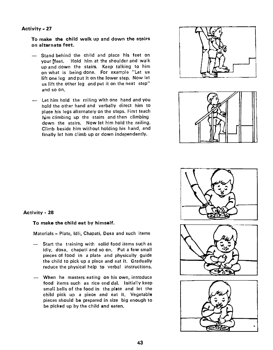To make the child walk up and down the stairs on alternate feet.

- Stand behind the child and place his feet on your feet. Hold him at the shoulder and walk up and down the stairs. Keep talking to him on what is being done. For example "Let us lift one leg and put it on the lower step. Now let us lift the other leg and put it on the next step" and so on.
- Let him hold the railing with one hand and you hold the other hand and verbally direct him to place his legs alternately on the steps. First teach him climbing up the stairs and then climbing down the stairs. Now let him hold the railing. Climb beside him without holding his hand, and finally let him climb up or down independently.

![](_page_52_Picture_4.jpeg)

![](_page_52_Picture_5.jpeg)

![](_page_52_Figure_6.jpeg)

#### Activity - 28

#### To make the child eat by himself.

Materials — Plate, Idli, Chapati, Dosa and such items

- Start the training with solid food items such as idly, dosa, chapati and so on. Put a few small pieces of food in a plate and physically guide the child to pick up a piece and eat it. Gradually reduce the physical help to verbal instructions.
- When he masters eating on his own, introduce food items such as rice and dal. Initially keep small balls of the food in the plate and let the child pick up a piece and eat it. Vegetable pieces should be prepared in size big enough to be picked up by the child and eaten.

![](_page_52_Figure_12.jpeg)

![](_page_52_Figure_13.jpeg)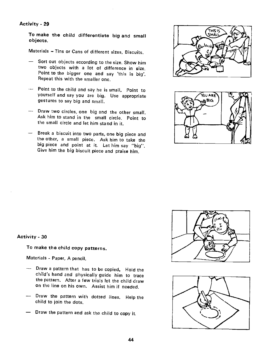To make the child differentiate big and small objects.

Materials — Tins or Cans of different sizes, Biscuits.

- Sort out objects according to the size. Show him two objects with a lot of difference in size. Point to the bigger one and say 'this is big'. Repeat this with the smaller one.
- Point to the child and say he is small. Point to yourself and say you are big. Use appropriate gestures to say big and small.
- Draw two circles, one big and the other small, Ask him to stand in the small circle. Point to the small circle and let him stand in it.
- Break a biscuit into two parts, one big piece and the other, a small piece. Ask him to take the big piece and point at it. Let him say "big". Give him the big biscuit piece and praise him,

![](_page_53_Picture_7.jpeg)

![](_page_53_Picture_8.jpeg)

#### Activity - 30

To make the child copy patterns.

Materials - Paper, A pencil,

- Draw a pattern that has to be copied. Hold the child's hand and physically guide him to trace the pattern. After a few trials let the child draw on the line on his own. Assist him if needed.
- Draw the pattern with dotted lines. Help the child to join the dots.
- Draw the pattern and ask the child to copy it.

![](_page_53_Picture_15.jpeg)

![](_page_53_Picture_16.jpeg)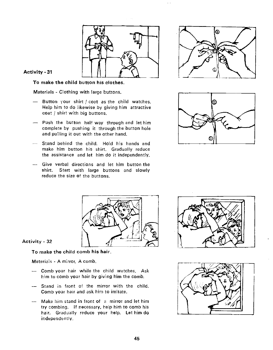![](_page_54_Picture_0.jpeg)

To make the child button his clothes.

Materials - Clothing with large buttons.

- Button your shirt  $/$  coat as the child watches. Help him to do likewise by giving him attractive coat / shirt with big buttons.
- Push the button half way through and let him complete by pushing it through the button hole and pulling it out with the other hand.
- Stand behind the child. Hold his hands and make him button his shirt. Gradually reduce the assistance and let him do it independently.
- Give verbal directions and let him button the shirt. Start with large buttons and slowly reduce the size of the buttons.

![](_page_54_Picture_8.jpeg)

![](_page_54_Picture_9.jpeg)

![](_page_54_Picture_10.jpeg)

#### Activity - 32

To make the child comb his hair.

Materials - A mirror. A comb.

- Comb your hair while the child watches. Ask him to comb your hair by giving him the comb.
- -— Stand in front of the mirror with the child. Comb your hair and ask him to imitate.
- Make him stand in front of a mirror and let him try combing. If necessary, help him to comb his hair. Gradually reduce your help. Let him do independently,

![](_page_54_Picture_17.jpeg)

![](_page_54_Picture_18.jpeg)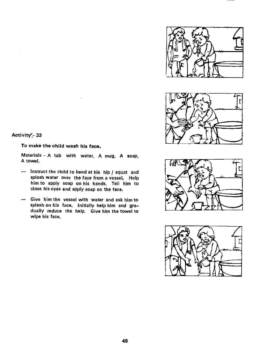![](_page_55_Picture_0.jpeg)

![](_page_55_Picture_1.jpeg)

![](_page_55_Picture_3.jpeg)

Activity<sup>-</sup> 33

To make the child wash his face.

Materials - A tub with water, A mug, A soap, A towel.

- Instruct the child to bend at his hip / squat and splash water over the face from a vessel. Help him to apply soap on his hands. Tell him to close his eyes and apply soap on the face.
- Give him the vessel with water and ask him to splash on his face. Initially help him and gra dually reduce the help. Give him the towel to wipe his face.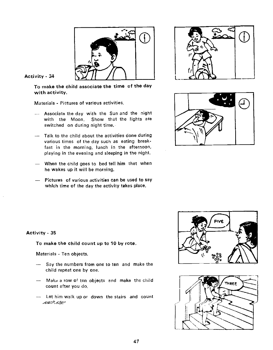![](_page_56_Picture_0.jpeg)

To make the child associate the time of the day with activity.

Materials - Pictures of various activities.

- Associate the day with the Sun and the night<br>with the Moon. Show that the lights are switched on during night time. with the Moon. Show that the lights are
- Talk to the child about the activities done during various times of the day such as eating breakfast in the morning, lunch in the afternoon, playing in the evening and sleeping in the night.
- When the child goes to bed tell him that when he wakes up it will be morning.
- Pictures of various activities can be used to say which time of the day the activity takes place.

![](_page_56_Picture_8.jpeg)

![](_page_56_Picture_9.jpeg)

# Activity - 35

To make the child count up to 10 by rote.

Materials - Ten objects.

- Say the numbers from one to ten and make the child repeat one by one.
- -- Make a row of ten objects and make the child count after you do.
- Let him walk up or down the stairs and count each sieg

![](_page_56_Picture_16.jpeg)

![](_page_56_Picture_17.jpeg)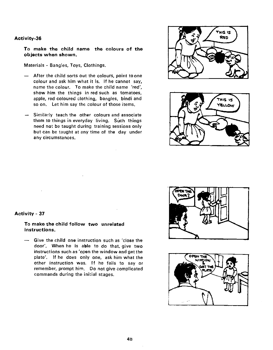To make the child name the colours of the objects when shown.

Materials - Bangles, Toys, Clothings.

- After the child sorts out the colours, point to one colour and ask him what it is. If he cannot say, name the colour. To make the child name 'red', show him the things in red such as tomatoes, apple, red coloured clothing, bangles, bindi and so on. Let him say the colour of those items.
- Similarly teach the other colours and associate them to things in everyday living. Such things need not be taught during training sessions only but can be taught at any time of the day under any circumstances.

![](_page_57_Picture_5.jpeg)

![](_page_57_Picture_6.jpeg)

![](_page_57_Picture_7.jpeg)

![](_page_57_Picture_8.jpeg)

#### Activity - 37

To make the child follow two unrelated instructions.

— Give the child one instruction such as 'close the door'. When he is able to do that, give two instructions such as 'open the window and get the plate'. If he does only one, ask him what the other instruction was, If he fails to say or remember, prompt him. Do not give complicated commands during the initial stages.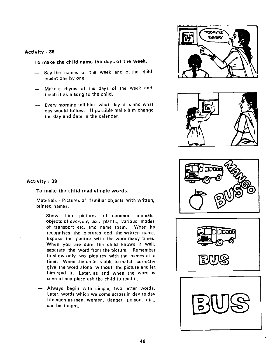To make the child name the days of the week.

- Say the names of the week and let the child repeat one by one.
- Make a rhyme of the days of the week and teach it as a song to the child.
- Every morning tell him what day it is and what day would follow. If possible make him change the day and date in the calendar.

![](_page_58_Picture_5.jpeg)

![](_page_58_Picture_6.jpeg)

![](_page_58_Picture_7.jpeg)

![](_page_58_Picture_8.jpeg)

![](_page_58_Picture_9.jpeg)

#### Activity : 39

 $\sim 10^{-1}$ 

#### To make the child read simple words.

Materials - Pictures of familiar objects with written/ printed names.

- Show him pictures of common animals, objects of everyday use, plants, various modes of transport etc. and name them, When he recognises the pictures add the written name. Expose the picture with the word many times. When you are sure the child knows it well, separate the word from the picture. Remember to show only two pictures with the names at a time. When the child is able to match correctly give the word alone without the picture and let him read it. Later, as and when the word is seen at any place ask the child to read it.
- Always begin with simple, two letter words. Later, words which we come across in day to day life such as men, women, danger, poison, etc., can be taught.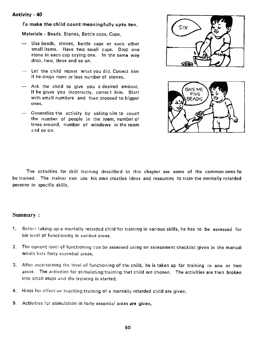#### <span id="page-59-0"></span>ro make the child count meaningfully upto ten.

Materials - Beads, Stones, Bottle caps, Cups.

- Use beads, stones, bottle caps or such other small items. Have two small cups. Drop one stone in each cup saying one. In the same way drop, two, three and so on.
- Let the child repeat what you did. Correct him if he drops more or less number of stones.
- Ask the child to give you a desired amount. If he gives you incorrectly, correct him. Start with small numbers and then proceed to bigger ones.
- Generalize the activity by asking him to count the number of people in the room, number of trees around, nuniber of windows in the room and so on.

![](_page_59_Picture_7.jpeg)

![](_page_59_Picture_8.jpeg)

The activities for skill training described in this chapter are some of the common ones to be trained. The trainer can use his own creative ideas and resources to train the mentally retarded persons in specific skills.

#### Summary:

- 1. Before taking up a mentally retarded child for training in various skills, he has to be assessed for his level of functioning in various areas.
- 2, The current level of functioning can be assessed using an assessment checklist given in the manual which lists forty essential areas.
- 3. After ascertaining the level of functioning of the child, he is taken up for training in one or two areas. The activities for stimulating/training that child are chosen. The activities are then broken into small steps and the training is started.
- 4. Hints for effective teaching/training of a mentally retarded child are given.
- 5. Activities for stimulation in forty essential areas are given.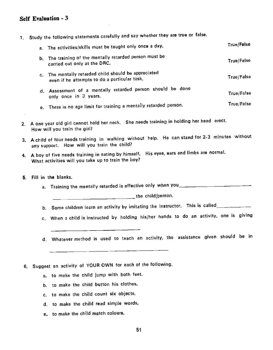# <span id="page-60-0"></span>Self Evaluation - 3

1. Study the following statements carefully and say whether they are true or false.

|    | a. The activities/skills must be taught only once a day,                                          | <b>True/False</b> |
|----|---------------------------------------------------------------------------------------------------|-------------------|
|    | b. The training of the mentally retarded person must be<br>carried out only at the DRC.           | True/False        |
| C. | The mentally retarded child should be appreciated<br>even if he attempts to do a particular task. | True/False        |
|    | d. Assessment of a mentally retarded person should be done<br>only once in 3 years.               | True/False        |
|    | e. There is no age limit for training a mentally retarded person.                                 | True/False        |

- 2. A one year old girl cannot hold her neck. She needs training in holding her head erect. How will you train the girl?
- 3. A child of four needs training in walking without help. He can stand for 2-3 minutes without any support. How will you train the child?
- 4. A boy of five needs training in eating by himself. His eyes, earsand limbs are normal. What activities will you take up to train the boy?
- 5. Fill in the blanks.
	- a. Training the mentally retarded is effective only when you\_\_\_\_\_\_\_\_\_\_\_\_\_\_\_\_\_\_\_\_

**The child/person.** 

- b. Some children learn an activity by imitating the instructor. This is called \_\_\_\_\_\_\_\_
- c. When a child is instructed by holding his/her hands to do an activity, one is giving
- d. Whatever method is used to teach an activity, the assistance given should be in
- 6. Suggest an activity of YOUR OWN for each of the following.
	- a. to make the child jump with both feet.
	- b. to make the child button his clothes.
	- c. to make the child count six objects.
	- d. to make the child read simple words.
	- e, to make the child match colours.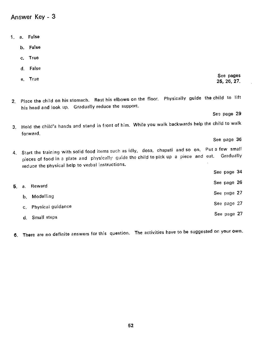<span id="page-61-0"></span>Answer Key - 3

- 1. a. False
	- b. False
	- c. True
	- d. False
	- e. True in the second second second second second second second second second second second second second second second second second second second second second second second second second second second second second seco
- 2. Place the child on his stomach. Rest his elbows on the floor. Physically guide the child to lift his head and look up. Gradually reduce the support.

See page 29

See page 36

25, 26. 27.

- 3. Hold the child's hands and stand in front of him. While you walk backwards help the child to walk forward.
- 4. Start the training with solid food items such as idly, dosa, chapati and so on. Put a few small<br>14. Start the training with solid physically quide the child to pick up a piece and eat. Gradually pieces of food in a plate and physically guide the child to pick up a piece and eat. reduce the physical help to verbal instructions.
- $5.$  a. Reward See page 26  $\,$ b. Modelling See page 27 See page 27 See page 27 See page 27 See page 27 See page 27 See page 27 See page 27 See page 27 See page 27 See page 27 See page 27 See page 27 See page 27 See page 27 See page 27 See page 27 See p c. Physical guidance See page 27 See page 27 d. Small steps See page 27 See page 27 See page 27 See page 27 See page 27 See page 27 See page 27 See page 27
- 6. There are no definite answers for this question. The activities have to be suggested on your own.

See page 34

- 
- 
-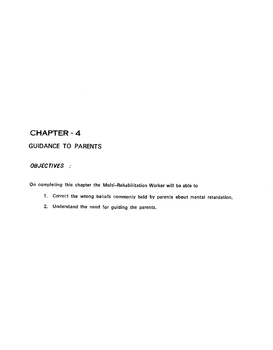# <span id="page-62-0"></span>CHAPTER -4

# GUIDANCE TO PARENTS

# OBJECTIVES :

On completing this chapter the Multi—Rehabilitation Worker will be able to

- 1. Correct the wrong beliefs commonly held by parents about mental retardation.
- 2. Understand the need for guiding the parents.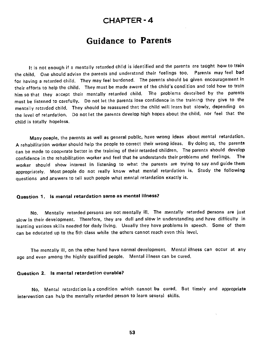# CHAPTER -4

# Guidance to Parents

<span id="page-63-0"></span>It is not enough if a mentally retarded child is identified and the parents are taught how to train the child. One should advise the parents and understand their feelings too. Parents may feel bad for having a retarded child. They may feel burdened. The parents should be given encouragement in their efforts to help the child. They must be made aware of the child's condition and told how to train him so that they accept their mentally retarded child. The problems described by the parents must be listened to carefully. Do not let the parents lose confidence in the training they give to the mentally retarded child. They should be reassured that the child will learn but slowly, depending on the level of retardation, Do not let the parents develop high hopes about the child, nor feel that the child is totally hopeless.

Many people, the parents as well as general public, have wrong ideas about mental retardation. A rehabilitation worker should help the people to correct their wrong ideas. By doing so, the parents can be made to cooperate better in the training of their retarded children. The parents should develop confidence in the rehabilitation worker and feel that he understands their problems and feelings. The worker should show interest in listening to what the parents are trying to say and guide them appropriately. Most people do not really know what mental retardation is. Study the following questions and answers to tell such people what mental retardation exactly is.

#### Question 1. Is mental retardation same as mental illness?

No. Mentally retarded persons are not mentally ill. The mentally retarded persons are just slow in their development. Therefore, they are dull and slow in understanding and have difficulty in learning various skills needed for daily living. Usually they have problems in speech. Some of them can be educated up to the 5th class while the others cannot reach even this level.

The mentally ill, on the other hand have normal development. Mental illness can occur at any age and even among the highly qualified people. Mental illness can be cured.

#### Question 2. Is mental retardation curable?

No. Mental retardation is a condition which cannot be cured. But timely and appropriate intervention can help the mentally retarded person to learn several skills.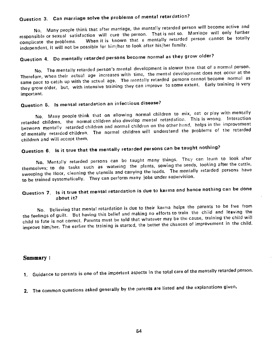# <span id="page-64-0"></span>Question 3. Can marriage solve the problems of mental retardation?

No. Many people think that after marriage, the mantally retarded person will become active and responsible or sexual satisfaction will cure the person. That is not so. Marriage will only further complicate the problems. When it is known that a mentally retarded person cannot be totally independent, it will not be possible for him/her to look after his/her family.

# Question 4. Do mentally retarded persons become normal as they grow older?

No. The mentally retarded person's mental development is slower than that of a normal person. Therefore, when their actual age increases with time, the mental development does not occur at the same pace to catch up with the actual age. The mentally retarded persons cannot become normal as they grow older, but, with intensive training they can improve to some extent. Early training is very important.

# Question 5. Is mental retardation an infectious disease?

No. Many people think that on allowing normal children to mix, eat or play with mentally retarded children, the normal children also develop mental retardation. This is wrong. Interaction between mentally retarded children and normal children on the other hand, helps in the improvement of mentally retarded children. The normal children will understand the problems of the retarded children and will accept them.

# Question 6. Is it true that the mentally retarded persons can be taught nothing?

No. Mentally retarded persons can be taught many things, They can learn to look after themselves; to do tasks such as watering the plants, sowing the seeds, looking after the cattle, sweeping the floor, cleaning the utensils and carrying the loads. The mentally retarded persons have to be trained systematically. They can perform many jobs under supervision.

# Question 7. Is it true that mental retardation is due to karma and hence nothing can be done about it?

No. Believing that mental retardation is due to their karma helps the parents to be free from the feelings of guilt. But having this belief and making no efforts to train the child and leaving the child to fate is not correct. Parents must be told that whatever may be the cause, training the child will improve him/her. The earlier the training is started, the better the chances of improvement in the child.

#### Summary:

- 1. Guidance to parents is one of the important aspects in the total care of the mentally retarded person.
- 2. The common questions asked generally by the parents are listed and the explanations given.